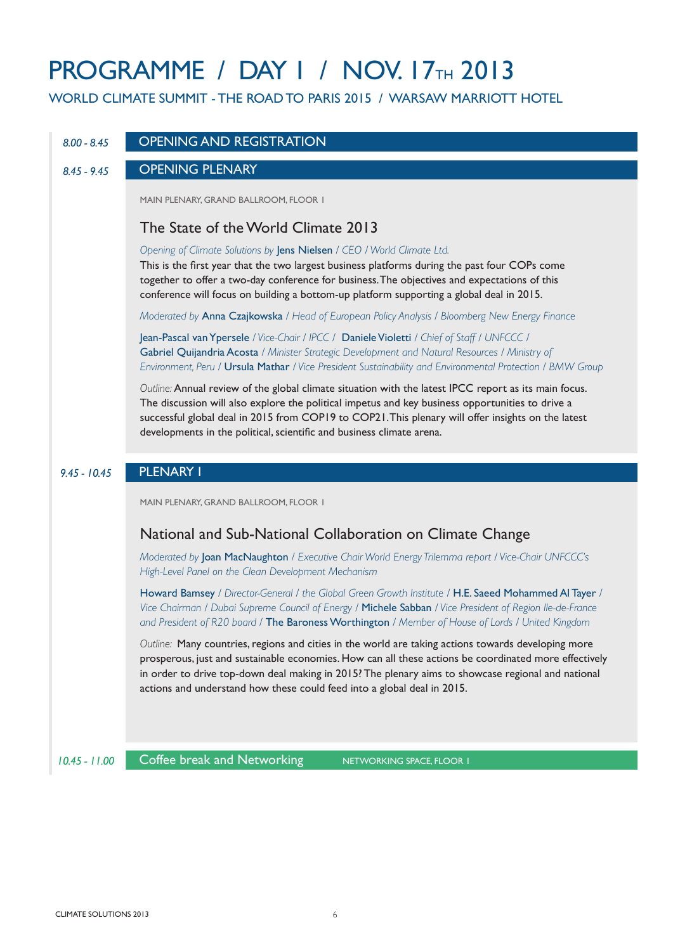# **PROGRAMME / DAY I / NOV. 17TH 2013**

WORLD CLIMATE SUMMIT - THE ROAD TO PARIS 2015 / WARSAW MARRIOTT HOTEL

#### *8.00 - 8.45* OPENING AND REGISTRATION

#### *8.45 - 9.45* OPENING PLENARY

MAIN PLENARY, GRAND BALLROOM, FLOOR 1

#### The State of the World Climate 2013

*Opening of Climate Solutions by* Jens Nielsen */ CEO / World Climate Ltd.*

This is the first year that the two largest business platforms during the past four COPs come together to offer a two-day conference for business. The objectives and expectations of this conference will focus on building a bottom-up platform supporting a global deal in 2015.

*Moderated by* Anna Czajkowska */ Head of European Policy Analysis / Bloomberg New Energy Finance*

Jean-Pascal van Ypersele */ Vice-Chair / IPCC /* Daniele Violetti */ Chief of Staff / UNFCCC /*  Gabriel Quijandria Acosta */ Minister Strategic Development and Natural Resources / Ministry of Environment, Peru /* Ursula Mathar */ Vice President Sustainability and Environmental Protection / BMW Group*

*Outline:* Annual review of the global climate situation with the latest IPCC report as its main focus. The discussion will also explore the political impetus and key business opportunities to drive a successful global deal in 2015 from COP19 to COP21. This plenary will offer insights on the latest developments in the political, scientific and business climate arena.

#### *9.45 - 10.45* PLENARY I

MAIN PLENARY, GRAND BALLROOM, FLOOR 1

## National and Sub-National Collaboration on Climate Change

*Moderated by* Joan MacNaughton */ Executive Chair World Energy Trilemma report / Vice-Chair UNFCCC's High-Level Panel on the Clean Development Mechanism*

Howard Bamsey */ Director-General / the Global Green Growth Institute /* H.E. Saeed Mohammed Al Tayer */ Vice Chairman / Dubai Supreme Council of Energy /* Michele Sabban */ Vice President of Region Ile-de-France and President of R20 board /* The Baroness Worthington */ Member of House of Lords / United Kingdom* 

*Outline:* Many countries, regions and cities in the world are taking actions towards developing more prosperous, just and sustainable economies. How can all these actions be coordinated more effectively in order to drive top-down deal making in 2015? The plenary aims to showcase regional and national actions and understand how these could feed into a global deal in 2015.

*10.45 - 11.00*

Coffee break and Networking NETWORKING SPACE, FLOOR 1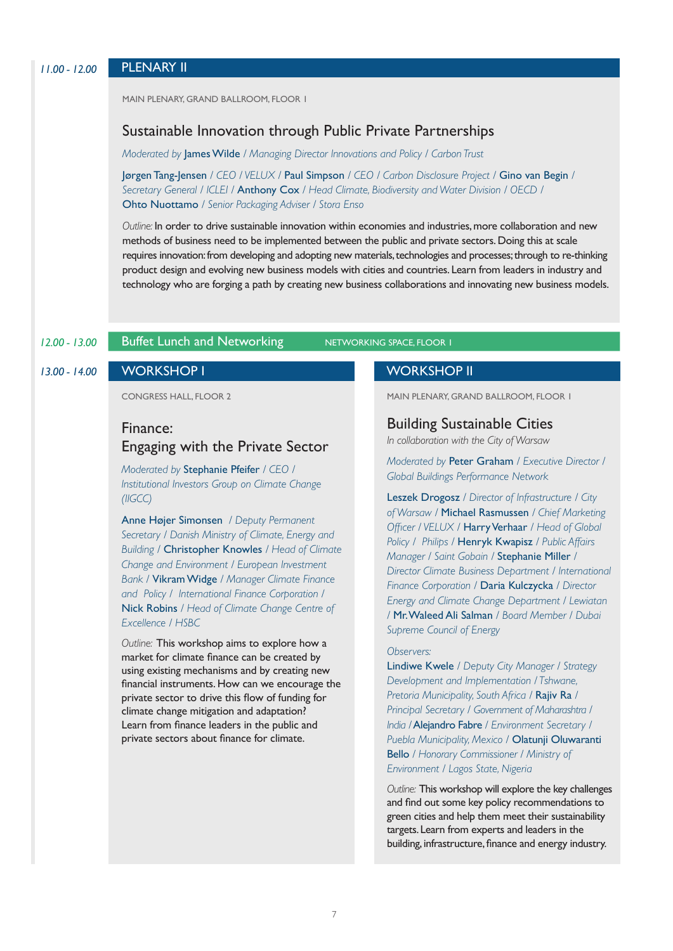MAIN PLENARY, GRAND BALLROOM, FLOOR 1

#### Sustainable Innovation through Public Private Partnerships

*Moderated by* James Wilde */ Managing Director Innovations and Policy / Carbon Trust*

Jørgen Tang-Jensen */ CEO / VELUX /* Paul Simpson */ CEO / Carbon Disclosure Project /* Gino van Begin */ Secretary General / ICLEI /* Anthony Cox */ Head Climate, Biodiversity and Water Division / OECD /*  Ohto Nuottamo */ Senior Packaging Adviser / Stora Enso*

*Outline:* In order to drive sustainable innovation within economies and industries, more collaboration and new methods of business need to be implemented between the public and private sectors. Doing this at scale requires innovation: from developing and adopting new materials, technologies and processes; through to re-thinking product design and evolving new business models with cities and countries. Learn from leaders in industry and technology who are forging a path by creating new business collaborations and innovating new business models.

#### **12.00 - 13.00 Buffet Lunch and Networking NETWORKING SPACE, FLOOR 1**

CONGRESS HALL, FLOOR 2

#### Finance:

## Engaging with the Private Sector

*Moderated by* Stephanie Pfeifer */ CEO / Institutional Investors Group on Climate Change (IIGCC)*

Anne Højer Simonsen */ Deputy Permanent Secretary / Danish Ministry of Climate, Energy and Building /* Christopher Knowles */ Head of Climate Change and Environment / European Investment Bank /* Vikram Widge */ Manager Climate Finance and Policy / International Finance Corporation /*  Nick Robins */ Head of Climate Change Centre of Excellence / HSBC*

*Outline:* This workshop aims to explore how a market for climate finance can be created by using existing mechanisms and by creating new financial instruments. How can we encourage the private sector to drive this flow of funding for climate change mitigation and adaptation? Learn from finance leaders in the public and private sectors about finance for climate.

#### *13.00 - 14.00* WORKSHOP I WORKSHOP II

MAIN PLENARY, GRAND BALLROOM, FLOOR 1

Building Sustainable Cities

*In collaboration with the City of Warsaw*

*Moderated by* Peter Graham */ Executive Director / Global Buildings Performance Network*

Leszek Drogosz */ Director of Infrastructure / City of Warsaw /* Michael Rasmussen */ Chief Marketing Officer / VELUX /* Harry Verhaar */ Head of Global Policy / Philips /* Henryk Kwapisz */ Public Affairs Manager / Saint Gobain /* Stephanie Miller */ Director Climate Business Department / International Finance Corporation /* Daria Kulczycka */ Director Energy and Climate Change Department / Lewiatan /* Mr. Waleed Ali Salman */ Board Member / Dubai Supreme Council of Energy*

#### *Observers:*

Lindiwe Kwele */ Deputy City Manager / Strategy Development and Implementation / Tshwane, Pretoria Municipality, South Africa /* Rajiv Ra */ Principal Secretary / Government of Maharashtra / India /* Alejandro Fabre */ Environment Secretary / Puebla Municipality, Mexico /* Olatunji Oluwaranti Bello */ Honorary Commissioner / Ministry of Environment / Lagos State, Nigeria* 

*Outline:* This workshop will explore the key challenges and find out some key policy recommendations to green cities and help them meet their sustainability targets. Learn from experts and leaders in the building, infrastructure, finance and energy industry.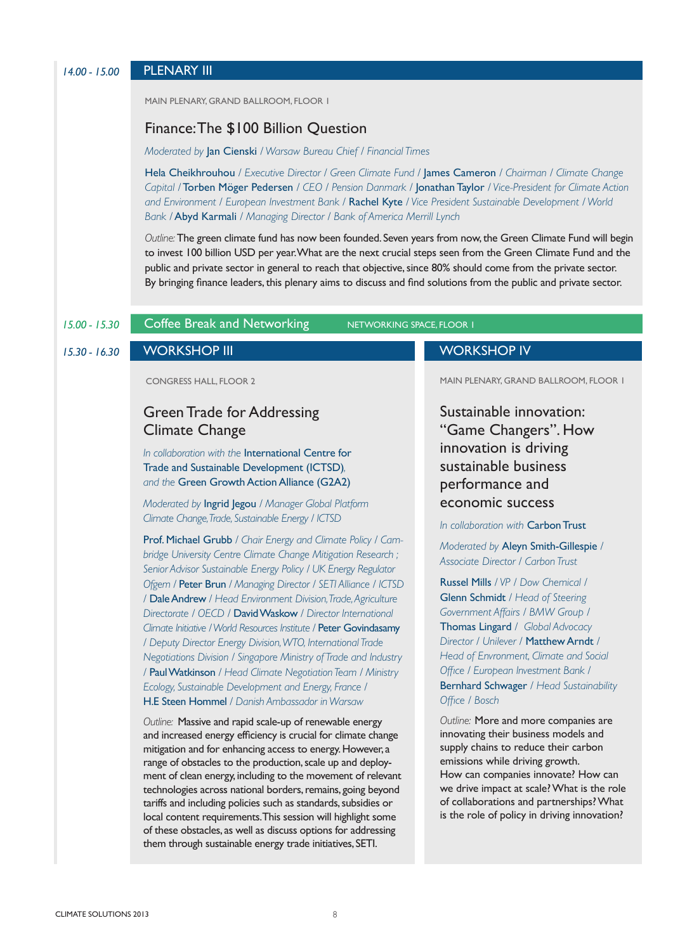### *14.00 - 15.00* PLENARY III

MAIN PLENARY, GRAND BALLROOM, FLOOR 1

#### Finance: The \$100 Billion Question

*Moderated by* Jan Cienski */ Warsaw Bureau Chief / Financial Times*

Hela Cheikhrouhou */ Executive Director / Green Climate Fund /* James Cameron */ Chairman / Climate Change Capital /* Torben Möger Pedersen */ CEO / Pension Danmark /* Jonathan Taylor */ Vice-President for Climate Action and Environment / European Investment Bank /* Rachel Kyte */ Vice President Sustainable Development / World Bank /* Abyd Karmali */ Managing Director / Bank of America Merrill Lynch*

*Outline:* The green climate fund has now been founded. Seven years from now, the Green Climate Fund will begin to invest 100 billion USD per year. What are the next crucial steps seen from the Green Climate Fund and the public and private sector in general to reach that objective, since 80% should come from the private sector. By bringing finance leaders, this plenary aims to discuss and find solutions from the public and private sector.

#### *15.00 - 15.30*

Coffee Break and Networking NETWORKING SPACE, FLOOR 1

#### *15.30 - 16.30*

CONGRESS HALL, FLOOR 2

## Green Trade for Addressing Climate Change

*In collaboration with the* International Centre for Trade and Sustainable Development (ICTSD)*, and the* Green Growth Action Alliance (G2A2)

*Moderated by* Ingrid Jegou */ Manager Global Platform Climate Change, Trade, Sustainable Energy / ICTSD*

Prof. Michael Grubb */ Chair Energy and Climate Policy / Cambridge University Centre Climate Change Mitigation Research ; Senior Advisor Sustainable Energy Policy / UK Energy Regulator Ofgem /* Peter Brun */ Managing Director / SETI Alliance / ICTSD /* Dale Andrew */ Head Environment Division, Trade, Agriculture Directorate / OECD /* David Waskow */ Director International Climate Initiative / World Resources Institute /* Peter Govindasamy */ Deputy Director Energy Division, WTO, International Trade Negotiations Division / Singapore Ministry of Trade and Industry /* Paul Watkinson */ Head Climate Negotiation Team / Ministry Ecology, Sustainable Development and Energy, France /*  H.E Steen Hommel */ Danish Ambassador in Warsaw*

*Outline:* Massive and rapid scale-up of renewable energy and increased energy efficiency is crucial for climate change mitigation and for enhancing access to energy. However, a range of obstacles to the production, scale up and deployment of clean energy, including to the movement of relevant technologies across national borders, remains, going beyond tariffs and including policies such as standards, subsidies or local content requirements. This session will highlight some of these obstacles, as well as discuss options for addressing them through sustainable energy trade initiatives, SETI.

#### WORKSHOP III WORKSHOP IV

MAIN PLENARY, GRAND BALLROOM, FLOOR 1

Sustainable innovation: "Game Changers". How innovation is driving sustainable business performance and economic success

*In collaboration with* Carbon Trust

*Moderated by* Aleyn Smith-Gillespie */ Associate Director / Carbon Trust*

Russel Mills */ VP / Dow Chemical /*  Glenn Schmidt */ Head of Steering Government Affairs / BMW Group /* Thomas Lingard */ Global Advocacy Director / Unilever /* Matthew Arndt */ Head of Envronment, Climate and Social Office / European Investment Bank /*  Bernhard Schwager */ Head Sustainability Office / Bosch*

*Outline:* More and more companies are innovating their business models and supply chains to reduce their carbon emissions while driving growth. How can companies innovate? How can we drive impact at scale? What is the role of collaborations and partnerships? What is the role of policy in driving innovation?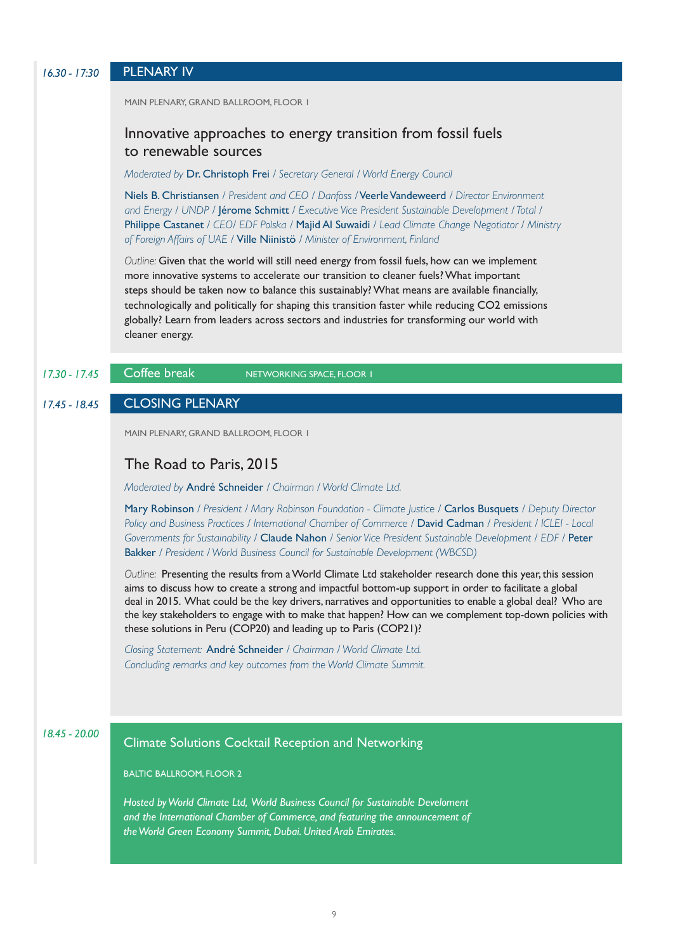| $16.30 - 17:30$ | <b>PLENARY IV</b>                                                                                                                                                                                                                                                                                                                                                                                                                                                                                               |
|-----------------|-----------------------------------------------------------------------------------------------------------------------------------------------------------------------------------------------------------------------------------------------------------------------------------------------------------------------------------------------------------------------------------------------------------------------------------------------------------------------------------------------------------------|
|                 | MAIN PLENARY, GRAND BALLROOM, FLOOR I                                                                                                                                                                                                                                                                                                                                                                                                                                                                           |
|                 | Innovative approaches to energy transition from fossil fuels<br>to renewable sources                                                                                                                                                                                                                                                                                                                                                                                                                            |
|                 | Moderated by Dr. Christoph Frei / Secretary General / World Energy Council                                                                                                                                                                                                                                                                                                                                                                                                                                      |
|                 | Niels B. Christiansen / President and CEO / Danfoss / Veerle Vandeweerd / Director Environment<br>and Energy / UNDP / Jérome Schmitt / Executive Vice President Sustainable Development / Total /<br>Philippe Castanet / CEO/ EDF Polska / Majid Al Suwaidi / Lead Climate Change Negotiator / Ministry<br>of Foreign Affairs of UAE / Ville Niinistö / Minister of Environment, Finland                                                                                                                        |
|                 | Outline: Given that the world will still need energy from fossil fuels, how can we implement<br>more innovative systems to accelerate our transition to cleaner fuels? What important<br>steps should be taken now to balance this sustainably? What means are available financially,<br>technologically and politically for shaping this transition faster while reducing CO2 emissions<br>globally? Learn from leaders across sectors and industries for transforming our world with<br>cleaner energy.       |
| $17.30 - 17.45$ | Coffee break<br>NETWORKING SPACE, FLOOR I                                                                                                                                                                                                                                                                                                                                                                                                                                                                       |
| $17.45 - 18.45$ | <b>CLOSING PLENARY</b>                                                                                                                                                                                                                                                                                                                                                                                                                                                                                          |
|                 |                                                                                                                                                                                                                                                                                                                                                                                                                                                                                                                 |
|                 | MAIN PLENARY, GRAND BALLROOM, FLOOR I                                                                                                                                                                                                                                                                                                                                                                                                                                                                           |
|                 | The Road to Paris, 2015                                                                                                                                                                                                                                                                                                                                                                                                                                                                                         |
|                 | Moderated by André Schneider / Chairman / World Climate Ltd.                                                                                                                                                                                                                                                                                                                                                                                                                                                    |
|                 | Mary Robinson / President / Mary Robinson Foundation - Climate Justice / Carlos Busquets / Deputy Director<br>Policy and Business Practices / International Chamber of Commerce / David Cadman / President / ICLEI - Local<br>Governments for Sustainability / Claude Nahon / Senior Vice President Sustainable Development / EDF / Peter<br>Bakker / President / World Business Council for Sustainable Development (WBCSD)                                                                                    |
|                 | Outline: Presenting the results from a World Climate Ltd stakeholder research done this year, this session<br>aims to discuss how to create a strong and impactful bottom-up support in order to facilitate a global<br>deal in 2015. What could be the key drivers, narratives and opportunities to enable a global deal? Who are<br>the key stakeholders to engage with to make that happen? How can we complement top-down policies with<br>these solutions in Peru (COP20) and leading up to Paris (COP21)? |
|                 | Closing Statement: André Schneider / Chairman / World Climate Ltd.<br>Concluding remarks and key outcomes from the World Climate Summit.                                                                                                                                                                                                                                                                                                                                                                        |
|                 |                                                                                                                                                                                                                                                                                                                                                                                                                                                                                                                 |
| $18.45 - 20.00$ | <b>Climate Solutions Cocktail Reception and Networking</b>                                                                                                                                                                                                                                                                                                                                                                                                                                                      |
|                 | <b>BALTIC BALLROOM, FLOOR 2</b>                                                                                                                                                                                                                                                                                                                                                                                                                                                                                 |
|                 | Hosted by World Climate Ltd, World Business Council for Sustainable Develoment                                                                                                                                                                                                                                                                                                                                                                                                                                  |
|                 | and the International Chamber of Commerce, and featuring the announcement of                                                                                                                                                                                                                                                                                                                                                                                                                                    |
|                 | the World Green Economy Summit, Dubai. United Arab Emirates.                                                                                                                                                                                                                                                                                                                                                                                                                                                    |
|                 |                                                                                                                                                                                                                                                                                                                                                                                                                                                                                                                 |
|                 |                                                                                                                                                                                                                                                                                                                                                                                                                                                                                                                 |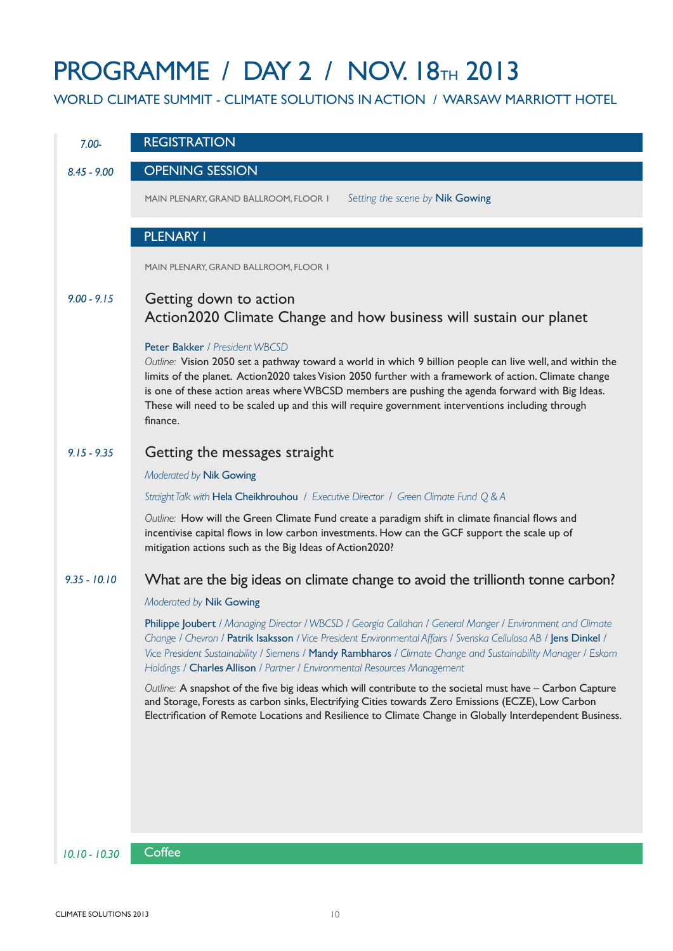# **PROGRAMME / DAY 2 / NOV. 18TH 2013**

WORLD CLIMATE SUMMIT - CLIMATE SOLUTIONS IN ACTION / WARSAW MARRIOTT HOTEL

| $7.00 -$        | <b>REGISTRATION</b>                                                                                                                                                                                                                                                                                                                                                                                                                                                     |
|-----------------|-------------------------------------------------------------------------------------------------------------------------------------------------------------------------------------------------------------------------------------------------------------------------------------------------------------------------------------------------------------------------------------------------------------------------------------------------------------------------|
| $8.45 - 9.00$   | <b>OPENING SESSION</b>                                                                                                                                                                                                                                                                                                                                                                                                                                                  |
|                 | Setting the scene by Nik Gowing<br>MAIN PLENARY, GRAND BALLROOM, FLOOR I                                                                                                                                                                                                                                                                                                                                                                                                |
|                 | <b>PLENARY I</b>                                                                                                                                                                                                                                                                                                                                                                                                                                                        |
|                 | MAIN PLENARY, GRAND BALLROOM, FLOOR I                                                                                                                                                                                                                                                                                                                                                                                                                                   |
| $9.00 - 9.15$   | Getting down to action<br>Action 2020 Climate Change and how business will sustain our planet                                                                                                                                                                                                                                                                                                                                                                           |
|                 | Peter Bakker / President WBCSD<br>Outline: Vision 2050 set a pathway toward a world in which 9 billion people can live well, and within the<br>limits of the planet. Action2020 takes Vision 2050 further with a framework of action. Climate change<br>is one of these action areas where WBCSD members are pushing the agenda forward with Big Ideas.<br>These will need to be scaled up and this will require government interventions including through<br>finance. |
| $9.15 - 9.35$   | Getting the messages straight                                                                                                                                                                                                                                                                                                                                                                                                                                           |
|                 | Moderated by Nik Gowing                                                                                                                                                                                                                                                                                                                                                                                                                                                 |
|                 | Straight Talk with Hela Cheikhrouhou / Executive Director / Green Climate Fund Q & A                                                                                                                                                                                                                                                                                                                                                                                    |
|                 | Outline: How will the Green Climate Fund create a paradigm shift in climate financial flows and<br>incentivise capital flows in low carbon investments. How can the GCF support the scale up of<br>mitigation actions such as the Big Ideas of Action2020?                                                                                                                                                                                                              |
| $9.35 - 10.10$  | What are the big ideas on climate change to avoid the trillionth tonne carbon?                                                                                                                                                                                                                                                                                                                                                                                          |
|                 | Moderated by Nik Gowing                                                                                                                                                                                                                                                                                                                                                                                                                                                 |
|                 | Philippe Joubert / Managing Director / WBCSD / Georgia Callahan / General Manger / Environment and Climate<br>Change / Chevron / Patrik Isaksson / Vice President Environmental Affairs / Svenska Cellulosa AB / Jens Dinkel /<br>Vice President Sustainability / Siemens / Mandy Rambharos / Climate Change and Sustainability Manager / Eskom<br>Holdings / Charles Allison / Partner / Environmental Resources Management                                            |
|                 | Outline: A snapshot of the five big ideas which will contribute to the societal must have - Carbon Capture<br>and Storage, Forests as carbon sinks, Electrifying Cities towards Zero Emissions (ECZE), Low Carbon<br>Electrification of Remote Locations and Resilience to Climate Change in Globally Interdependent Business.                                                                                                                                          |
|                 |                                                                                                                                                                                                                                                                                                                                                                                                                                                                         |
|                 |                                                                                                                                                                                                                                                                                                                                                                                                                                                                         |
|                 |                                                                                                                                                                                                                                                                                                                                                                                                                                                                         |
|                 |                                                                                                                                                                                                                                                                                                                                                                                                                                                                         |
| $10.10 - 10.30$ | Coffee                                                                                                                                                                                                                                                                                                                                                                                                                                                                  |